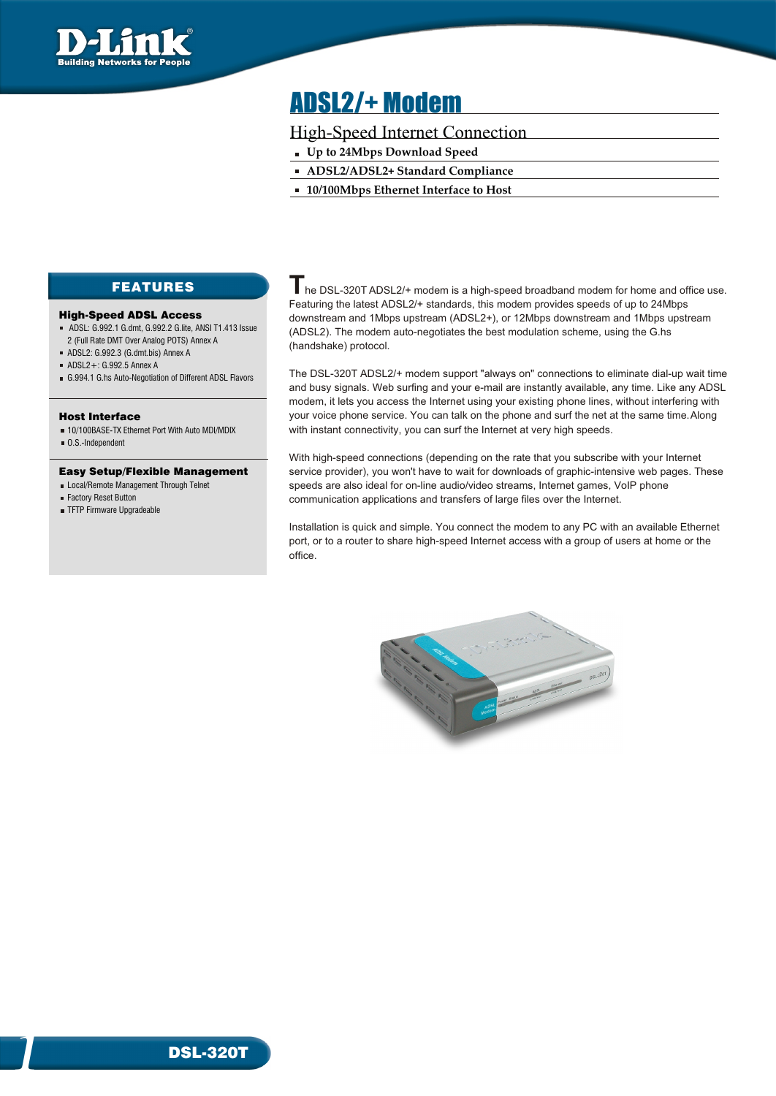

# ADSL2/+ Modem

## High-Speed Internet Connection

- **Up to 24Mbps Download Speed**
- **ADSL2/ADSL2+ Standard Compliance**
- **10/100Mbps Ethernet Interface to Host**

# FEATURES

### High-Speed ADSL Access

- ADSL: G.992.1 G.dmt, G.992.2 G.lite, ANSI T1.413 Issue 2 (Full Rate DMT Over Analog POTS) Annex A
- ADSL2: G.992.3 (G.dmt.bis) Annex A
- ADSL2+: G.992.5 Annex A
- G.994.1 G.hs Auto-Negotiation of Different ADSL Flavors

### Host Interface

- 10/100BASE-TX Ethernet Port With Auto MDI/MDIX
- O.S.-Independent

### Easy Setup/Flexible Management

- **Local/Remote Management Through Telnet**
- Factory Reset Button

1

TFTP Firmware Upgradeable

**T** he DSL-320T ADSL2/+ modem is <sup>a</sup> high-speed broadband modem for home and office use. Featuring the latest ADSL2/+ standards, this modem provides speeds of up to 24Mbps downstream and 1Mbps upstream (ADSL2+), or 12Mbps downstream and 1Mbps upstream (ADSL2). The modem auto-negotiates the best modulation scheme, using the G.hs (handshake) protocol.

The DSL-320T ADSL2/+ modem support "always on" connections to eliminate dial-up wait time and busy signals. Web surfing and your e-mail are instantly available, any time. Like any ADSL modem, it lets you access the Internet using your existing phone lines, without interfering with your voice phone service. You can talk on the phone and surf the net at the same time. Along with instant connectivity, you can surf the Internet at very high speeds.

With high-speed connections (depending on the rate that you subscribe with your Internet service provider), you won't have to wait for downloads of graphic-intensive web pages. These speeds are also ideal for on-line audio/video streams, Internet games, VoIP phone communication applications and transfers of large files over the Internet.

Installation is quick and simple. You connect the modem to any PC with an available Ethernet port, or to a router to share high-speed Internet access with a group of users at home or the office.